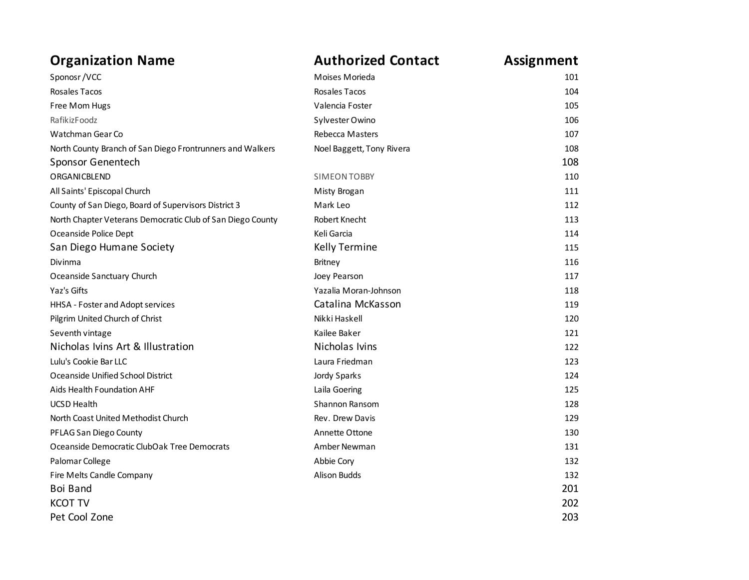| <b>Organization Name</b>                                   | <b>Authorized Contact</b> | <b>Assignment</b> |
|------------------------------------------------------------|---------------------------|-------------------|
| Sponosr/VCC                                                | Moises Morieda            | 101               |
| Rosales Tacos                                              | Rosales Tacos             | 104               |
| Free Mom Hugs                                              | Valencia Foster           | 105               |
| RafikizFoodz                                               | Sylvester Owino           | 106               |
| Watchman Gear Co                                           | <b>Rebecca Masters</b>    | 107               |
| North County Branch of San Diego Frontrunners and Walkers  | Noel Baggett, Tony Rivera | 108               |
| Sponsor Genentech                                          |                           | 108               |
| <b>ORGANICBLEND</b>                                        | <b>SIMEON TOBBY</b>       | 110               |
| All Saints' Episcopal Church                               | Misty Brogan              | 111               |
| County of San Diego, Board of Supervisors District 3       | Mark Leo                  | 112               |
| North Chapter Veterans Democratic Club of San Diego County | Robert Knecht             | 113               |
| Oceanside Police Dept                                      | Keli Garcia               | 114               |
| San Diego Humane Society                                   | <b>Kelly Termine</b>      | 115               |
| Divinma                                                    | Britney                   | 116               |
| Oceanside Sanctuary Church                                 | Joey Pearson              | 117               |
| Yaz's Gifts                                                | Yazalia Moran-Johnson     | 118               |
| HHSA - Foster and Adopt services                           | Catalina McKasson         | 119               |
| Pilgrim United Church of Christ                            | Nikki Haskell             | 120               |
| Seventh vintage                                            | Kailee Baker              | 121               |
| Nicholas Ivins Art & Illustration                          | Nicholas Ivins            | 122               |
| Lulu's Cookie Bar LLC                                      | Laura Friedman            | 123               |
| Oceanside Unified School District                          | Jordy Sparks              | 124               |
| Aids Health Foundation AHF                                 | Laila Goering             | 125               |
| <b>UCSD Health</b>                                         | <b>Shannon Ransom</b>     | 128               |
| North Coast United Methodist Church                        | Rev. Drew Davis           | 129               |
| PFLAG San Diego County                                     | Annette Ottone            | 130               |
| Oceanside Democratic ClubOak Tree Democrats                | Amber Newman              | 131               |
| Palomar College                                            | Abbie Cory                | 132               |
| Fire Melts Candle Company                                  | <b>Alison Budds</b>       | 132               |
| Boi Band                                                   |                           | 201               |
| <b>KCOT TV</b>                                             |                           | 202               |
| Pet Cool Zone                                              |                           | 203               |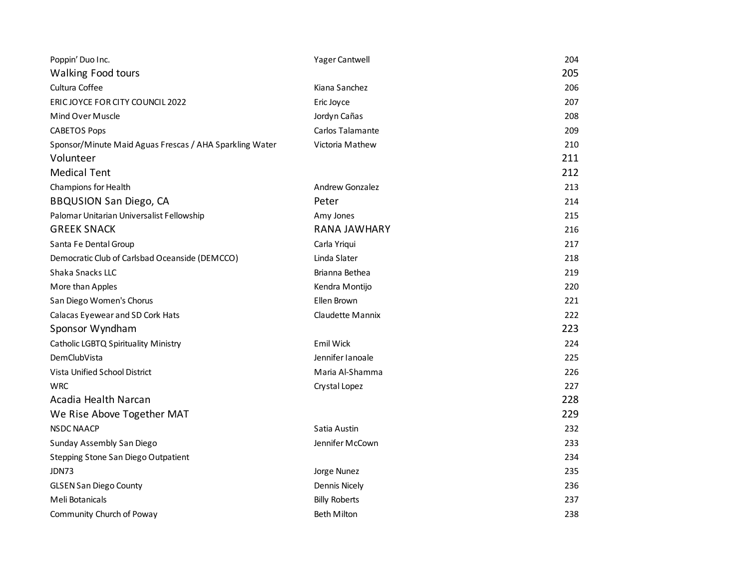| Poppin' Duo Inc.                                        | Yager Cantwell         | 204 |
|---------------------------------------------------------|------------------------|-----|
| <b>Walking Food tours</b>                               |                        | 205 |
| Cultura Coffee                                          | Kiana Sanchez          | 206 |
| ERIC JOYCE FOR CITY COUNCIL 2022                        | Eric Joyce             | 207 |
| Mind Over Muscle                                        | Jordyn Cañas           | 208 |
| <b>CABETOS Pops</b>                                     | Carlos Talamante       | 209 |
| Sponsor/Minute Maid Aguas Frescas / AHA Sparkling Water | Victoria Mathew        | 210 |
| Volunteer                                               |                        | 211 |
| <b>Medical Tent</b>                                     |                        | 212 |
| Champions for Health                                    | <b>Andrew Gonzalez</b> | 213 |
| <b>BBQUSION San Diego, CA</b>                           | Peter                  | 214 |
| Palomar Unitarian Universalist Fellowship               | Amy Jones              | 215 |
| <b>GREEK SNACK</b>                                      | <b>RANA JAWHARY</b>    | 216 |
| Santa Fe Dental Group                                   | Carla Yriqui           | 217 |
| Democratic Club of Carlsbad Oceanside (DEMCCO)          | Linda Slater           | 218 |
| Shaka Snacks LLC                                        | Brianna Bethea         | 219 |
| More than Apples                                        | Kendra Montijo         | 220 |
| San Diego Women's Chorus                                | Ellen Brown            | 221 |
| Calacas Eyewear and SD Cork Hats                        | Claudette Mannix       | 222 |
| Sponsor Wyndham                                         |                        | 223 |
| Catholic LGBTQ Spirituality Ministry                    | <b>Emil Wick</b>       | 224 |
| DemClubVista                                            | Jennifer Janoale       | 225 |
| Vista Unified School District                           | Maria Al-Shamma        | 226 |
| <b>WRC</b>                                              | Crystal Lopez          | 227 |
| Acadia Health Narcan                                    |                        | 228 |
| We Rise Above Together MAT                              |                        | 229 |
| <b>NSDC NAACP</b>                                       | Satia Austin           | 232 |
| Sunday Assembly San Diego                               | Jennifer McCown        | 233 |
| Stepping Stone San Diego Outpatient                     |                        | 234 |
| JDN73                                                   | Jorge Nunez            | 235 |
| <b>GLSEN San Diego County</b>                           | <b>Dennis Nicely</b>   | 236 |
| Meli Botanicals                                         | <b>Billy Roberts</b>   | 237 |
| Community Church of Poway                               | <b>Beth Milton</b>     | 238 |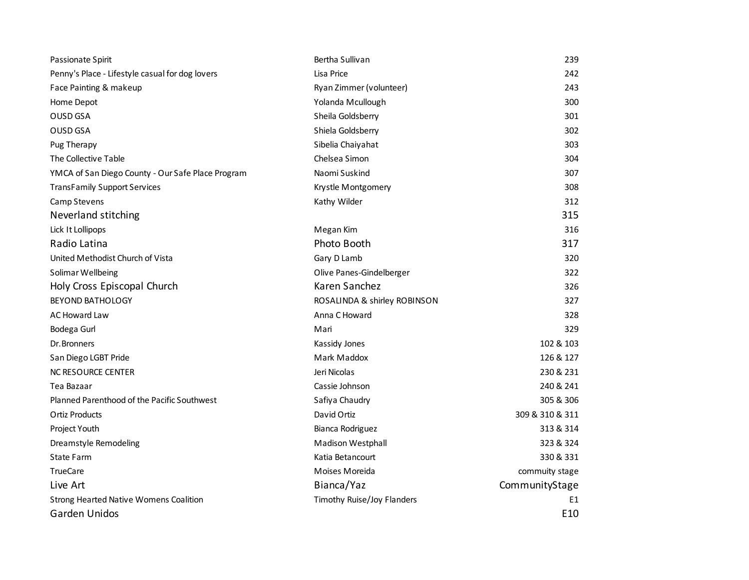| Passionate Spirit                                 | Bertha Sullivan              | 239             |
|---------------------------------------------------|------------------------------|-----------------|
| Penny's Place - Lifestyle casual for dog lovers   | Lisa Price                   | 242             |
| Face Painting & makeup                            | Ryan Zimmer (volunteer)      | 243             |
| Home Depot                                        | Yolanda Mcullough            | 300             |
| OUSD GSA                                          | Sheila Goldsberry            | 301             |
| OUSD GSA                                          | Shiela Goldsberry            | 302             |
| Pug Therapy                                       | Sibelia Chaiyahat            | 303             |
| The Collective Table                              | Chelsea Simon                | 304             |
| YMCA of San Diego County - Our Safe Place Program | Naomi Suskind                | 307             |
| <b>TransFamily Support Services</b>               | Krystle Montgomery           | 308             |
| Camp Stevens                                      | Kathy Wilder                 | 312             |
| Neverland stitching                               |                              | 315             |
| Lick It Lollipops                                 | Megan Kim                    | 316             |
| Radio Latina                                      | Photo Booth                  | 317             |
| United Methodist Church of Vista                  | Gary D Lamb                  | 320             |
| Solimar Wellbeing                                 | Olive Panes-Gindelberger     | 322             |
| Holy Cross Episcopal Church                       | Karen Sanchez                | 326             |
| <b>BEYOND BATHOLOGY</b>                           | ROSALINDA & shirley ROBINSON | 327             |
| <b>AC Howard Law</b>                              | Anna C Howard                | 328             |
| Bodega Gurl                                       | Mari                         | 329             |
| Dr. Bronners                                      | Kassidy Jones                | 102 & 103       |
| San Diego LGBT Pride                              | Mark Maddox                  | 126 & 127       |
| NC RESOURCE CENTER                                | Jeri Nicolas                 | 230 & 231       |
| Tea Bazaar                                        | Cassie Johnson               | 240 & 241       |
| Planned Parenthood of the Pacific Southwest       | Safiya Chaudry               | 305 & 306       |
| <b>Ortiz Products</b>                             | David Ortiz                  | 309 & 310 & 311 |
| Project Youth                                     | Bianca Rodriguez             | 313 & 314       |
| Dreamstyle Remodeling                             | Madison Westphall            | 323 & 324       |
| State Farm                                        | Katia Betancourt             | 330 & 331       |
| <b>TrueCare</b>                                   | Moises Moreida               | commuity stage  |
| Live Art                                          | Bianca/Yaz                   | CommunityStage  |
| <b>Strong Hearted Native Womens Coalition</b>     | Timothy Ruise/Joy Flanders   | E1              |
| Garden Unidos                                     |                              | E10             |